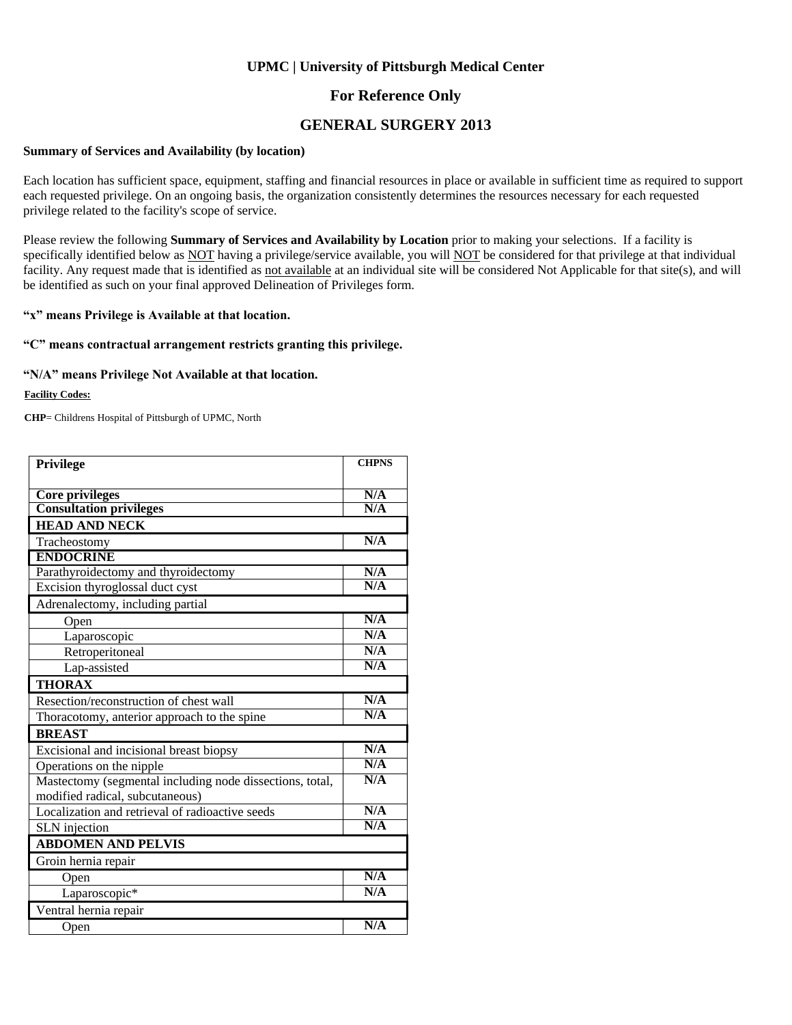### **For Reference Only**

### **GENERAL SURGERY 2013**

#### **Summary of Services and Availability (by location)**

Each location has sufficient space, equipment, staffing and financial resources in place or available in sufficient time as required to support each requested privilege. On an ongoing basis, the organization consistently determines the resources necessary for each requested privilege related to the facility's scope of service.

Please review the following **Summary of Services and Availability by Location** prior to making your selections. If a facility is specifically identified below as NOT having a privilege/service available, you will NOT be considered for that privilege at that individual facility. Any request made that is identified as not available at an individual site will be considered Not Applicable for that site(s), and will be identified as such on your final approved Delineation of Privileges form.

#### **"x" means Privilege is Available at that location.**

#### **"C" means contractual arrangement restricts granting this privilege.**

#### **"N/A" means Privilege Not Available at that location.**

#### **Facility Codes:**

**CHP**= Childrens Hospital of Pittsburgh of UPMC, North

| <b>Privilege</b>                                         | <b>CHPNS</b> |
|----------------------------------------------------------|--------------|
|                                                          |              |
| Core privileges                                          | N/A          |
| <b>Consultation privileges</b>                           | N/A          |
| <b>HEAD AND NECK</b>                                     |              |
| Tracheostomy                                             | N/A          |
| <b>ENDOCRINE</b>                                         |              |
| Parathyroidectomy and thyroidectomy                      | N/A          |
| Excision thyroglossal duct cyst                          | N/A          |
| Adrenalectomy, including partial                         |              |
| Open                                                     | N/A          |
| Laparoscopic                                             | N/A          |
| Retroperitoneal                                          | N/A          |
| Lap-assisted                                             | N/A          |
| <b>THORAX</b>                                            |              |
| Resection/reconstruction of chest wall                   | N/A          |
| Thoracotomy, anterior approach to the spine              | N/A          |
| <b>BREAST</b>                                            |              |
| Excisional and incisional breast biopsy                  | N/A          |
| Operations on the nipple                                 | N/A          |
| Mastectomy (segmental including node dissections, total, | N/A          |
| modified radical, subcutaneous)                          |              |
| Localization and retrieval of radioactive seeds          | N/A          |
| SLN injection                                            | N/A          |
| <b>ABDOMEN AND PELVIS</b>                                |              |
| Groin hernia repair                                      |              |
| Open                                                     | N/A          |
| Laparoscopic*                                            | N/A          |
| Ventral hernia repair                                    |              |
| Open                                                     | N/A          |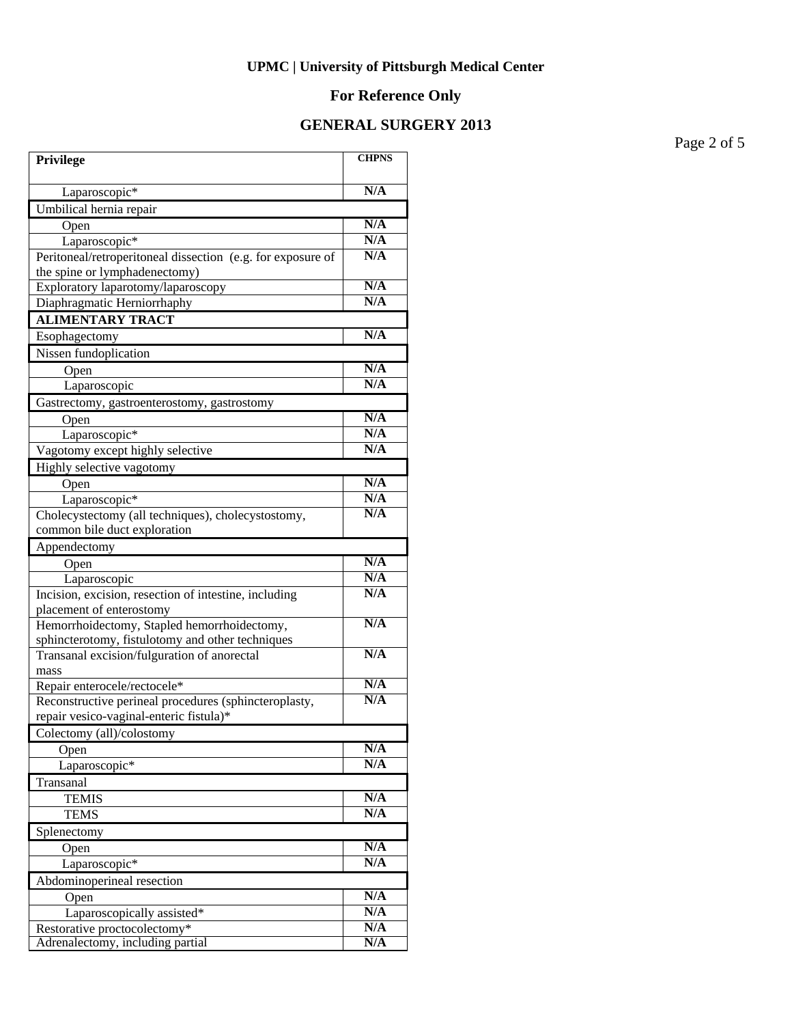# **For Reference Only**

# **GENERAL SURGERY 2013**

Page 2 of 5

| <b>Privilege</b>                                            | <b>CHPNS</b> |
|-------------------------------------------------------------|--------------|
| Laparoscopic*                                               | N/A          |
| Umbilical hernia repair                                     |              |
| Open                                                        | N/A          |
| Laparoscopic <sup>*</sup>                                   | N/A          |
| Peritoneal/retroperitoneal dissection (e.g. for exposure of | N/A          |
| the spine or lymphadenectomy)                               |              |
| Exploratory laparotomy/laparoscopy                          | N/A          |
| Diaphragmatic Herniorrhaphy                                 | N/A          |
| <b>ALIMENTARY TRACT</b>                                     |              |
| Esophagectomy                                               | N/A          |
| Nissen fundoplication                                       |              |
| Open                                                        | N/A          |
| Laparoscopic                                                | N/A          |
| Gastrectomy, gastroenterostomy, gastrostomy                 |              |
| Open                                                        | N/A          |
| Laparoscopic*                                               | N/A          |
| Vagotomy except highly selective                            | N/A          |
| Highly selective vagotomy                                   |              |
| Open                                                        | N/A          |
| Laparoscopic*                                               | N/A          |
| Cholecystectomy (all techniques), cholecystostomy,          | N/A          |
| common bile duct exploration                                |              |
| Appendectomy                                                |              |
| Open                                                        | N/A          |
| Laparoscopic                                                | N/A          |
| Incision, excision, resection of intestine, including       | N/A          |
| placement of enterostomy                                    |              |
| Hemorrhoidectomy, Stapled hemorrhoidectomy,                 | N/A          |
| sphincterotomy, fistulotomy and other techniques            | N/A          |
| Transanal excision/fulguration of anorectal<br>mass         |              |
| Repair enterocele/rectocele*                                | N/A          |
| Reconstructive perineal procedures (sphincteroplasty,       | N/A          |
| repair vesico-vaginal-enteric fistula)*                     |              |
| Colectomy (all)/colostomy                                   |              |
| Open                                                        | N/A          |
| Laparoscopic*                                               | N/A          |
| Transanal                                                   |              |
| <b>TEMIS</b>                                                | N/A          |
| <b>TEMS</b>                                                 | N/A          |
| Splenectomy                                                 |              |
| Open                                                        | N/A          |
| Laparoscopic*                                               | N/A          |
| Abdominoperineal resection                                  |              |
| Open                                                        | N/A          |
| Laparoscopically assisted*                                  | N/A          |
| Restorative proctocolectomy*                                | N/A          |
| Adrenalectomy, including partial                            | N/A          |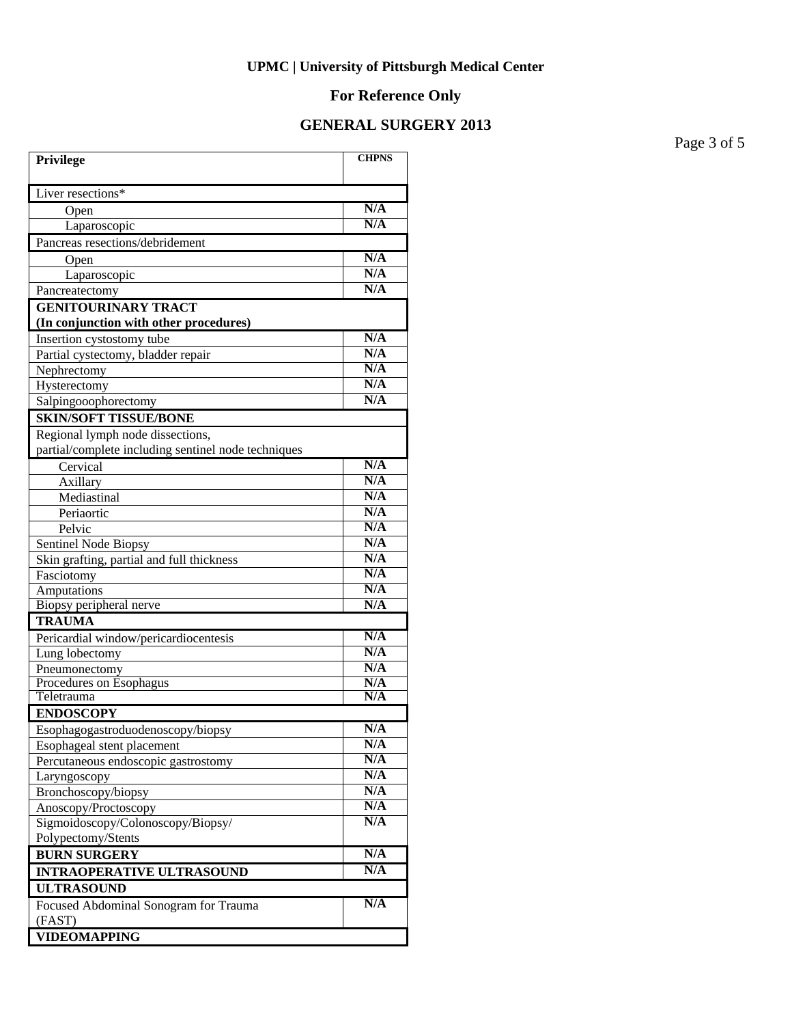### **For Reference Only**

### **GENERAL SURGERY 2013**

**Privilege CHPNS** Liver resections\* Open **N/A**  Laparoscopic **N/A** Pancreas resections/debridement Open **N/A** Laparoscopic **N/A**<br>reatectomy N/A Pancreatectomy **GENITOURINARY TRACT (In conjunction with other procedures) Insertion cystostomy tube N/A**<br> **Partial cystectomy bladder repair** N/A Partial cystectomy, bladder repair **N/A**<br>Nephrectomy **N/A** Nephrectomy **N/A**<br>Hysterectomy **N/A** Hysterectomy **N/A**<br>Salpingooophorectomy **N/A** Salpingooophorectomy **SKIN/SOFT TISSUE/BONE** Regional lymph node dissections, partial/complete including sentinel node techniques Cervical **N/A** Axillary **N/A** Mediastinal **N/A**<br>Periaortic **N/A** Periaortic Pelvic **N/A** Sentinel Node Biopsy<br>Skin grafting, partial and full thickness<br>N/A Skin grafting, partial and full thickness Fasciotomy **N/A** Amputations **N/A** Biopsy peripheral nerve **N/A TRAUMA** Pericardial window/pericardiocentesis **N/A** Lung lobectomy **N/A**<br>Pneumonectomy **N/A** Pneumonectomy **N/A**<br>Procedures on Esophagus **N/A** Procedures on Esophagus **N/A**<br>
Teletrauma **N/A Teletrauma ENDOSCOPY** Esophagogastroduodenoscopy/biopsy **N/A** Esophageal stent placement **N/A**<br> **Percutaneous endoscopic gastrostomy** N/A Percutaneous endoscopic gastrostomy **N/A**<br>
Larvngoscopy **N/A** Laryngoscopy **N/A** Bronchoscopy/biopsy **N/A**<br>Anosconv/Proctoscopy **N/A** Anoscopy/Proctoscopy Sigmoidoscopy/Colonoscopy/Biopsy/ Polypectomy/Stents **N/A BURN SURGERY** N/A **INTRAOPERATIVE ULTRASOUND N/A ULTRASOUND** Focused Abdominal Sonogram for Trauma (FAST) **N/A VIDEOMAPPING**

Page 3 of 5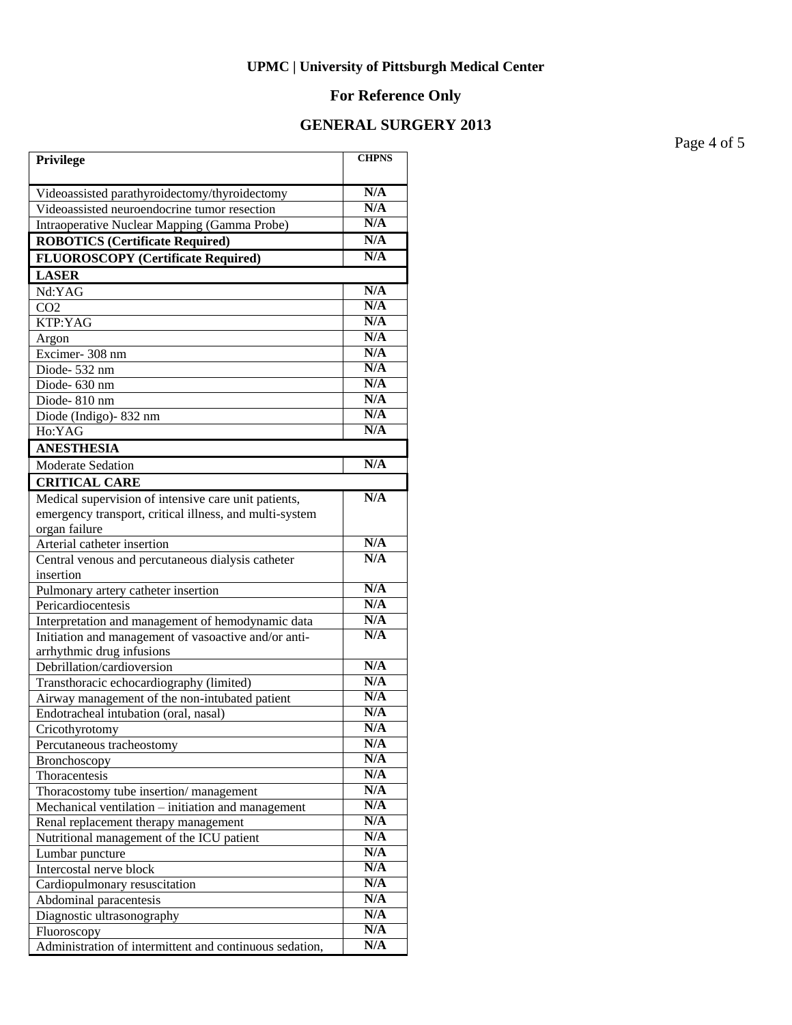# **For Reference Only**

# **GENERAL SURGERY 2013**

Page 4 of 5

| Privilege                                                                         | <b>CHPNS</b> |
|-----------------------------------------------------------------------------------|--------------|
| Videoassisted parathyroidectomy/thyroidectomy                                     | N/A          |
| Videoassisted neuroendocrine tumor resection                                      | N/A          |
| <b>Intraoperative Nuclear Mapping (Gamma Probe)</b>                               | N/A          |
| <b>ROBOTICS (Certificate Required)</b>                                            | N/A          |
| <b>FLUOROSCOPY</b> (Certificate Required)                                         | N/A          |
| <b>LASER</b>                                                                      |              |
| Nd:YAG                                                                            | N/A          |
| CO <sub>2</sub>                                                                   | N/A          |
| KTP:YAG                                                                           | N/A          |
| Argon                                                                             | N/A          |
| Excimer-308 nm                                                                    | N/A          |
| Diode-532 nm                                                                      | N/A          |
| Diode- 630 nm                                                                     | N/A          |
| Diode-810 nm                                                                      | N/A          |
| Diode (Indigo)-832 nm                                                             | N/A          |
| Ho:YAG                                                                            | N/A          |
| <b>ANESTHESIA</b>                                                                 |              |
| Moderate Sedation                                                                 | N/A          |
| <b>CRITICAL CARE</b>                                                              |              |
| Medical supervision of intensive care unit patients,                              | N/A          |
| emergency transport, critical illness, and multi-system                           |              |
| organ failure                                                                     |              |
| Arterial catheter insertion                                                       | N/A          |
| Central venous and percutaneous dialysis catheter                                 | N/A          |
| insertion                                                                         |              |
| Pulmonary artery catheter insertion                                               | N/A          |
| Pericardiocentesis                                                                | N/A          |
| Interpretation and management of hemodynamic data                                 | N/A          |
| Initiation and management of vasoactive and/or anti-                              | N/A          |
| arrhythmic drug infusions                                                         | N/A          |
| Debrillation/cardioversion                                                        | N/A          |
| Transthoracic echocardiography (limited)                                          | N/A          |
| Airway management of the non-intubated patient                                    | N/A          |
| Endotracheal intubation (oral, nasal)                                             | N/A          |
| Cricothyrotomy                                                                    | N/A          |
| Percutaneous tracheostomy                                                         | N/A          |
| Bronchoscopy                                                                      | N/A          |
| Thoracentesis                                                                     | N/A          |
| Thoracostomy tube insertion/management                                            | N/A          |
| Mechanical ventilation - initiation and management                                | N/A          |
| Renal replacement therapy management<br>Nutritional management of the ICU patient | N/A          |
| Lumbar puncture                                                                   | N/A          |
| Intercostal nerve block                                                           | N/A          |
| Cardiopulmonary resuscitation                                                     | N/A          |
| Abdominal paracentesis                                                            | N/A          |
| Diagnostic ultrasonography                                                        | N/A          |
| Fluoroscopy                                                                       | N/A          |
| Administration of intermittent and continuous sedation,                           | N/A          |
|                                                                                   |              |